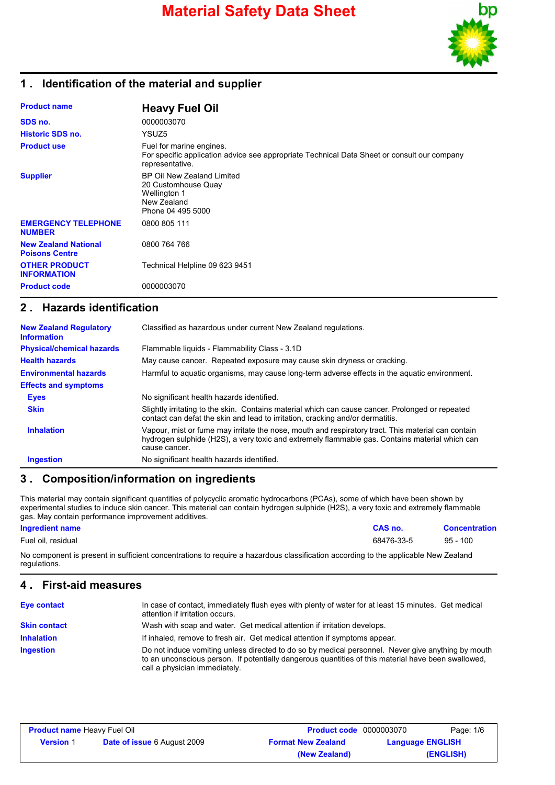

### **1 . Identification of the material and supplier**

| <b>Product name</b>                                  | <b>Heavy Fuel Oil</b>                                                                                                                      |
|------------------------------------------------------|--------------------------------------------------------------------------------------------------------------------------------------------|
| SDS no.                                              | 0000003070                                                                                                                                 |
| <b>Historic SDS no.</b>                              | YSUZ5                                                                                                                                      |
| <b>Product use</b>                                   | Fuel for marine engines.<br>For specific application advice see appropriate Technical Data Sheet or consult our company<br>representative. |
| <b>Supplier</b>                                      | BP Oil New Zealand Limited<br>20 Customhouse Quay<br>Wellington 1<br>New Zealand<br>Phone 04 495 5000                                      |
| <b>EMERGENCY TELEPHONE</b><br><b>NUMBER</b>          | 0800 805 111                                                                                                                               |
| <b>New Zealand National</b><br><b>Poisons Centre</b> | 0800 764 766                                                                                                                               |
| <b>OTHER PRODUCT</b><br><b>INFORMATION</b>           | Technical Helpline 09 623 9451                                                                                                             |
| <b>Product code</b>                                  | 0000003070                                                                                                                                 |

### **2 . Hazards identification**

| <b>New Zealand Regulatory</b><br><b>Information</b> | Classified as hazardous under current New Zealand regulations.                                                                                                                                                        |
|-----------------------------------------------------|-----------------------------------------------------------------------------------------------------------------------------------------------------------------------------------------------------------------------|
| <b>Physical/chemical hazards</b>                    | Flammable liquids - Flammability Class - 3.1D                                                                                                                                                                         |
| <b>Health hazards</b>                               | May cause cancer. Repeated exposure may cause skin dryness or cracking.                                                                                                                                               |
| <b>Environmental hazards</b>                        | Harmful to aquatic organisms, may cause long-term adverse effects in the aquatic environment.                                                                                                                         |
| <b>Effects and symptoms</b>                         |                                                                                                                                                                                                                       |
| <b>Eyes</b>                                         | No significant health hazards identified.                                                                                                                                                                             |
| <b>Skin</b>                                         | Slightly irritating to the skin. Contains material which can cause cancer. Prolonged or repeated<br>contact can defat the skin and lead to irritation, cracking and/or dermatitis.                                    |
| <b>Inhalation</b>                                   | Vapour, mist or fume may irritate the nose, mouth and respiratory tract. This material can contain<br>hydrogen sulphide (H2S), a very toxic and extremely flammable gas. Contains material which can<br>cause cancer. |
| <b>Ingestion</b>                                    | No significant health hazards identified.                                                                                                                                                                             |

### **3 . Composition/information on ingredients**

This material may contain significant quantities of polycyclic aromatic hydrocarbons (PCAs), some of which have been shown by experimental studies to induce skin cancer. This material can contain hydrogen sulphide (H2S), a very toxic and extremely flammable gas. May contain performance improvement additives.

#### **Ingredient name CAS no. Concentration**

Fuel oil, residual 68476-33-5 95 - 100

No component is present in sufficient concentrations to require a hazardous classification according to the applicable New Zealand regulations.

### **4 . First-aid measures**

| <b>Eye contact</b>  | In case of contact, immediately flush eyes with plenty of water for at least 15 minutes. Get medical<br>attention if irritation occurs.                                                                                                    |
|---------------------|--------------------------------------------------------------------------------------------------------------------------------------------------------------------------------------------------------------------------------------------|
| <b>Skin contact</b> | Wash with soap and water. Get medical attention if irritation develops.                                                                                                                                                                    |
| <b>Inhalation</b>   | If inhaled, remove to fresh air. Get medical attention if symptoms appear.                                                                                                                                                                 |
| <b>Ingestion</b>    | Do not induce vomiting unless directed to do so by medical personnel. Never give anything by mouth<br>to an unconscious person. If potentially dangerous quantities of this material have been swallowed,<br>call a physician immediately. |

| <b>Product name Heavy Fuel Oil</b> |                                    | <b>Product code</b> 0000003070 |                         | Page: 1/6 |
|------------------------------------|------------------------------------|--------------------------------|-------------------------|-----------|
| <b>Version</b> 1                   | <b>Date of issue 6 August 2009</b> | <b>Format New Zealand</b>      | <b>Language ENGLISH</b> |           |
|                                    |                                    | (New Zealand)                  |                         | (ENGLISH) |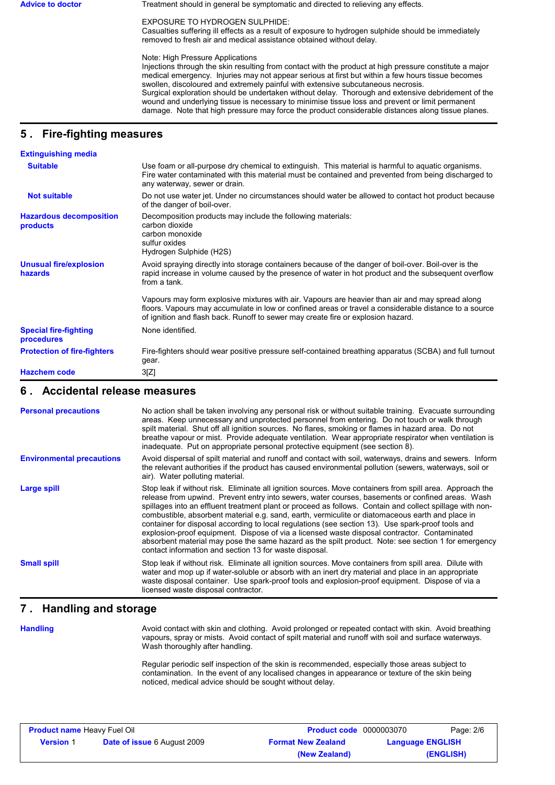Advice to doctor **Treatment should in general be symptomatic and directed to relieving any effects.** 

EXPOSURE TO HYDROGEN SULPHIDE:

Casualties suffering ill effects as a result of exposure to hydrogen sulphide should be immediately removed to fresh air and medical assistance obtained without delay.

Note: High Pressure Applications

Injections through the skin resulting from contact with the product at high pressure constitute a major medical emergency. Injuries may not appear serious at first but within a few hours tissue becomes swollen, discoloured and extremely painful with extensive subcutaneous necrosis. Surgical exploration should be undertaken without delay. Thorough and extensive debridement of the wound and underlying tissue is necessary to minimise tissue loss and prevent or limit permanent damage. Note that high pressure may force the product considerable distances along tissue planes.

## **5 . Fire-fighting measures**

| <b>Extinguishing media</b>                 |                                                                                                                                                                                                                                                                                              |
|--------------------------------------------|----------------------------------------------------------------------------------------------------------------------------------------------------------------------------------------------------------------------------------------------------------------------------------------------|
| <b>Suitable</b>                            | Use foam or all-purpose dry chemical to extinguish. This material is harmful to aquatic organisms.<br>Fire water contaminated with this material must be contained and prevented from being discharged to<br>any waterway, sewer or drain.                                                   |
| <b>Not suitable</b>                        | Do not use water jet. Under no circumstances should water be allowed to contact hot product because<br>of the danger of boil-over.                                                                                                                                                           |
| <b>Hazardous decomposition</b><br>products | Decomposition products may include the following materials:<br>carbon dioxide<br>carbon monoxide<br>sulfur oxides<br>Hydrogen Sulphide (H2S)                                                                                                                                                 |
| <b>Unusual fire/explosion</b><br>hazards   | Avoid spraying directly into storage containers because of the danger of boil-over. Boil-over is the<br>rapid increase in volume caused by the presence of water in hot product and the subsequent overflow<br>from a tank.                                                                  |
|                                            | Vapours may form explosive mixtures with air. Vapours are heavier than air and may spread along<br>floors. Vapours may accumulate in low or confined areas or travel a considerable distance to a source<br>of ignition and flash back. Runoff to sewer may create fire or explosion hazard. |
| <b>Special fire-fighting</b><br>procedures | None identified.                                                                                                                                                                                                                                                                             |
| <b>Protection of fire-fighters</b>         | Fire-fighters should wear positive pressure self-contained breathing apparatus (SCBA) and full turnout<br>gear.                                                                                                                                                                              |
| <b>Hazchem code</b>                        | 3[Z]                                                                                                                                                                                                                                                                                         |

### **6 . Accidental release measures**

| <b>Personal precautions</b>      | No action shall be taken involving any personal risk or without suitable training. Evacuate surrounding<br>areas. Keep unnecessary and unprotected personnel from entering. Do not touch or walk through<br>spilt material. Shut off all ignition sources. No flares, smoking or flames in hazard area. Do not<br>breathe vapour or mist. Provide adequate ventilation. Wear appropriate respirator when ventilation is<br>inadequate. Put on appropriate personal protective equipment (see section 8).                                                                                                                                                                                                                                                                                           |
|----------------------------------|----------------------------------------------------------------------------------------------------------------------------------------------------------------------------------------------------------------------------------------------------------------------------------------------------------------------------------------------------------------------------------------------------------------------------------------------------------------------------------------------------------------------------------------------------------------------------------------------------------------------------------------------------------------------------------------------------------------------------------------------------------------------------------------------------|
| <b>Environmental precautions</b> | Avoid dispersal of spilt material and runoff and contact with soil, waterways, drains and sewers. Inform<br>the relevant authorities if the product has caused environmental pollution (sewers, waterways, soil or<br>air). Water polluting material.                                                                                                                                                                                                                                                                                                                                                                                                                                                                                                                                              |
| Large spill                      | Stop leak if without risk. Eliminate all ignition sources. Move containers from spill area. Approach the<br>release from upwind. Prevent entry into sewers, water courses, basements or confined areas. Wash<br>spillages into an effluent treatment plant or proceed as follows. Contain and collect spillage with non-<br>combustible, absorbent material e.g. sand, earth, vermiculite or diatomaceous earth and place in<br>container for disposal according to local regulations (see section 13). Use spark-proof tools and<br>explosion-proof equipment. Dispose of via a licensed waste disposal contractor. Contaminated<br>absorbent material may pose the same hazard as the spilt product. Note: see section 1 for emergency<br>contact information and section 13 for waste disposal. |
| <b>Small spill</b>               | Stop leak if without risk. Eliminate all ignition sources. Move containers from spill area. Dilute with<br>water and mop up if water-soluble or absorb with an inert dry material and place in an appropriate<br>waste disposal container. Use spark-proof tools and explosion-proof equipment. Dispose of via a<br>licensed waste disposal contractor.                                                                                                                                                                                                                                                                                                                                                                                                                                            |

### **7 . Handling and storage**

**Handling**

Avoid contact with skin and clothing. Avoid prolonged or repeated contact with skin. Avoid breathing vapours, spray or mists. Avoid contact of spilt material and runoff with soil and surface waterways. Wash thoroughly after handling.

Regular periodic self inspection of the skin is recommended, especially those areas subject to contamination. In the event of any localised changes in appearance or texture of the skin being noticed, medical advice should be sought without delay.

| <b>Product name Heavy Fuel Oil</b> |                                    | <b>Product code</b> 0000003070 | Page: 2/6               |
|------------------------------------|------------------------------------|--------------------------------|-------------------------|
| <b>Version</b> 1                   | <b>Date of issue 6 August 2009</b> | <b>Format New Zealand</b>      | <b>Language ENGLISH</b> |
|                                    |                                    | (New Zealand)                  | (ENGLISH)               |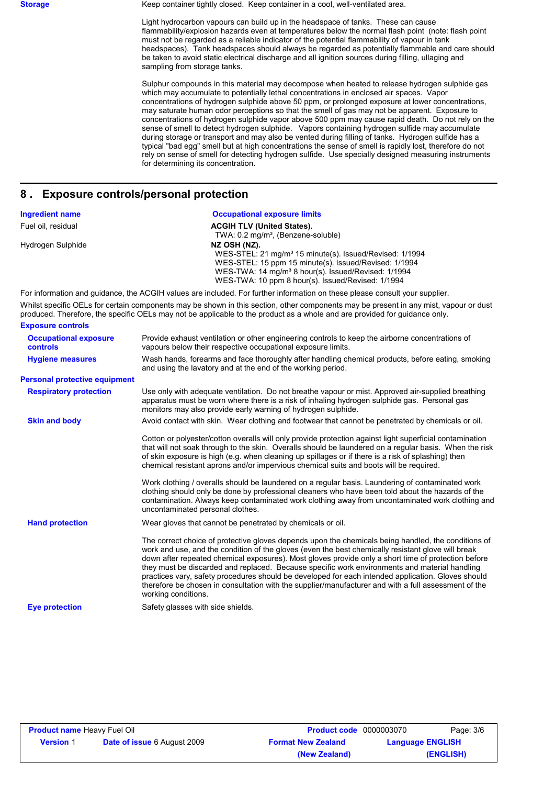**Storage** Keep container tightly closed. Keep container in a cool, well-ventilated area.

Light hydrocarbon vapours can build up in the headspace of tanks. These can cause flammability/explosion hazards even at temperatures below the normal flash point (note: flash point must not be regarded as a reliable indicator of the potential flammability of vapour in tank headspaces). Tank headspaces should always be regarded as potentially flammable and care should be taken to avoid static electrical discharge and all ignition sources during filling, ullaging and sampling from storage tanks.

Sulphur compounds in this material may decompose when heated to release hydrogen sulphide gas which may accumulate to potentially lethal concentrations in enclosed air spaces. Vapor concentrations of hydrogen sulphide above 50 ppm, or prolonged exposure at lower concentrations, may saturate human odor perceptions so that the smell of gas may not be apparent. Exposure to concentrations of hydrogen sulphide vapor above 500 ppm may cause rapid death. Do not rely on the sense of smell to detect hydrogen sulphide. Vapors containing hydrogen sulfide may accumulate during storage or transport and may also be vented during filling of tanks. Hydrogen sulfide has a typical "bad egg" smell but at high concentrations the sense of smell is rapidly lost, therefore do not rely on sense of smell for detecting hydrogen sulfide. Use specially designed measuring instruments for determining its concentration.

### **8 . Exposure controls/personal protection**

| <b>Ingredient name</b> | <b>Occupational exposure limits</b>                                                                                         |
|------------------------|-----------------------------------------------------------------------------------------------------------------------------|
| Fuel oil, residual     | <b>ACGIH TLV (United States).</b>                                                                                           |
|                        | TWA: 0.2 mg/m <sup>3</sup> , (Benzene-soluble)                                                                              |
| Hydrogen Sulphide      | NZ OSH (NZ).                                                                                                                |
|                        | WES-STEL: 21 mg/m <sup>3</sup> 15 minute(s). Issued/Revised: 1/1994                                                         |
|                        | WES-STEL: 15 ppm 15 minute(s). Issued/Revised: 1/1994                                                                       |
|                        | WES-TWA: 14 mg/m <sup>3</sup> 8 hour(s). Issued/Revised: 1/1994                                                             |
|                        | WES-TWA: 10 ppm 8 hour(s). Issued/Revised: 1/1994                                                                           |
|                        | For information and quidance, the ACGIH values are included. For further information on these please consult your supplier. |

Whilst specific OELs for certain components may be shown in this section, other components may be present in any mist, vapour or dust produced. Therefore, the specific OELs may not be applicable to the product as a whole and are provided for guidance only. **Exposure controls**

| <b>Occupational exposure</b><br><b>controls</b> | Provide exhaust ventilation or other engineering controls to keep the airborne concentrations of<br>vapours below their respective occupational exposure limits.                                                                                                                                                                                                                                                                                                                                                                                                                                                                                       |
|-------------------------------------------------|--------------------------------------------------------------------------------------------------------------------------------------------------------------------------------------------------------------------------------------------------------------------------------------------------------------------------------------------------------------------------------------------------------------------------------------------------------------------------------------------------------------------------------------------------------------------------------------------------------------------------------------------------------|
| <b>Hygiene measures</b>                         | Wash hands, forearms and face thoroughly after handling chemical products, before eating, smoking<br>and using the lavatory and at the end of the working period.                                                                                                                                                                                                                                                                                                                                                                                                                                                                                      |
| <b>Personal protective equipment</b>            |                                                                                                                                                                                                                                                                                                                                                                                                                                                                                                                                                                                                                                                        |
| <b>Respiratory protection</b>                   | Use only with adequate ventilation. Do not breathe vapour or mist. Approved air-supplied breathing<br>apparatus must be worn where there is a risk of inhaling hydrogen sulphide gas. Personal gas<br>monitors may also provide early warning of hydrogen sulphide.                                                                                                                                                                                                                                                                                                                                                                                    |
| <b>Skin and body</b>                            | Avoid contact with skin. Wear clothing and footwear that cannot be penetrated by chemicals or oil.                                                                                                                                                                                                                                                                                                                                                                                                                                                                                                                                                     |
|                                                 | Cotton or polyester/cotton overalls will only provide protection against light superficial contamination<br>that will not soak through to the skin. Overalls should be laundered on a regular basis. When the risk<br>of skin exposure is high (e.g. when cleaning up spillages or if there is a risk of splashing) then<br>chemical resistant aprons and/or impervious chemical suits and boots will be required.<br>Work clothing / overalls should be laundered on a regular basis. Laundering of contaminated work                                                                                                                                 |
|                                                 | clothing should only be done by professional cleaners who have been told about the hazards of the<br>contamination. Always keep contaminated work clothing away from uncontaminated work clothing and<br>uncontaminated personal clothes.                                                                                                                                                                                                                                                                                                                                                                                                              |
| <b>Hand protection</b>                          | Wear gloves that cannot be penetrated by chemicals or oil.                                                                                                                                                                                                                                                                                                                                                                                                                                                                                                                                                                                             |
|                                                 | The correct choice of protective gloves depends upon the chemicals being handled, the conditions of<br>work and use, and the condition of the gloves (even the best chemically resistant glove will break<br>down after repeated chemical exposures). Most gloves provide only a short time of protection before<br>they must be discarded and replaced. Because specific work environments and material handling<br>practices vary, safety procedures should be developed for each intended application. Gloves should<br>therefore be chosen in consultation with the supplier/manufacturer and with a full assessment of the<br>working conditions. |
| <b>Eve protection</b>                           | Safety glasses with side shields.                                                                                                                                                                                                                                                                                                                                                                                                                                                                                                                                                                                                                      |

| <b>Product name Heavy Fuel Oil</b> |                                    | <b>Product code</b> 0000003070 | Page: 3/6               |
|------------------------------------|------------------------------------|--------------------------------|-------------------------|
| <b>Version 1</b>                   | <b>Date of issue 6 August 2009</b> | <b>Format New Zealand</b>      | <b>Language ENGLISH</b> |
|                                    |                                    | (New Zealand)                  | (ENGLISH)               |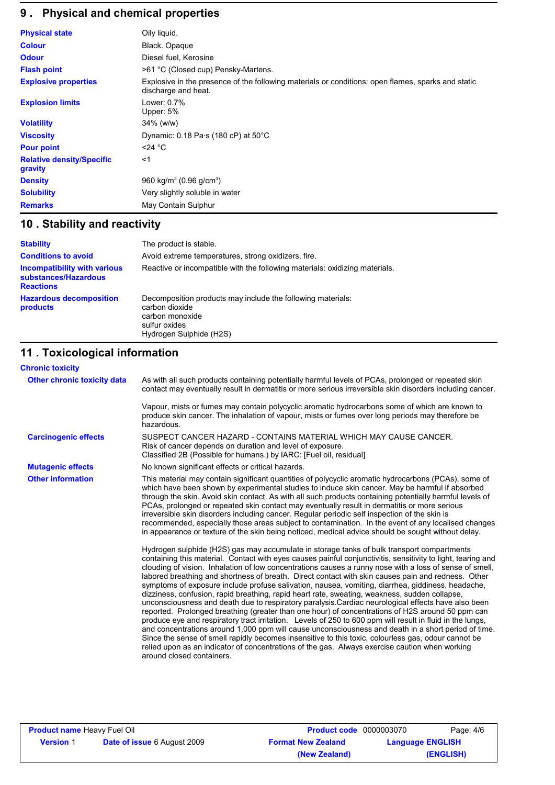# **9 . Physical and chemical properties**

| <b>Physical state</b>                       | Oily liquid.                                                                                                              |
|---------------------------------------------|---------------------------------------------------------------------------------------------------------------------------|
| <b>Colour</b>                               | Black. Opaque                                                                                                             |
| <b>Odour</b>                                | Diesel fuel, Kerosine                                                                                                     |
| <b>Flash point</b>                          | >61 °C (Closed cup) Pensky-Martens.                                                                                       |
| <b>Explosive properties</b>                 | Explosive in the presence of the following materials or conditions: open flames, sparks and static<br>discharge and heat. |
| <b>Explosion limits</b>                     | Lower: 0.7%<br>Upper: 5%                                                                                                  |
| <b>Volatility</b>                           | $34\%$ (w/w)                                                                                                              |
| <b>Viscosity</b>                            | Dynamic: $0.18 \text{ Pa} \cdot \text{s}$ (180 cP) at $50^{\circ} \text{C}$                                               |
| <b>Pour point</b>                           | $<$ 24 °C                                                                                                                 |
| <b>Relative density/Specific</b><br>gravity | $<$ 1                                                                                                                     |
| <b>Density</b>                              | 960 kg/m <sup>3</sup> (0.96 g/cm <sup>3</sup> )                                                                           |
| <b>Solubility</b>                           | Very slightly soluble in water                                                                                            |
| <b>Remarks</b>                              | May Contain Sulphur                                                                                                       |

# **10 . Stability and reactivity**

| <b>Stability</b>                                                                | The product is stable.                                                                                                                       |
|---------------------------------------------------------------------------------|----------------------------------------------------------------------------------------------------------------------------------------------|
| <b>Conditions to avoid</b>                                                      | Avoid extreme temperatures, strong oxidizers, fire.                                                                                          |
| <b>Incompatibility with various</b><br>substances/Hazardous<br><b>Reactions</b> | Reactive or incompatible with the following materials: oxidizing materials.                                                                  |
| <b>Hazardous decomposition</b><br>products                                      | Decomposition products may include the following materials:<br>carbon dioxide<br>carbon monoxide<br>sulfur oxides<br>Hydrogen Sulphide (H2S) |

# **11 . Toxicological information**

| <b>Chronic toxicity</b>     |                                                                                                                                                                                                                                                                                                                                                                                                                                                                                                                                                                                                                                                                                                                                                                                                                                                                                                                                                                                                                                                                                                                                                                                                                                                                                                        |
|-----------------------------|--------------------------------------------------------------------------------------------------------------------------------------------------------------------------------------------------------------------------------------------------------------------------------------------------------------------------------------------------------------------------------------------------------------------------------------------------------------------------------------------------------------------------------------------------------------------------------------------------------------------------------------------------------------------------------------------------------------------------------------------------------------------------------------------------------------------------------------------------------------------------------------------------------------------------------------------------------------------------------------------------------------------------------------------------------------------------------------------------------------------------------------------------------------------------------------------------------------------------------------------------------------------------------------------------------|
| Other chronic toxicity data | As with all such products containing potentially harmful levels of PCAs, prolonged or repeated skin<br>contact may eventually result in dermatitis or more serious irreversible skin disorders including cancer.                                                                                                                                                                                                                                                                                                                                                                                                                                                                                                                                                                                                                                                                                                                                                                                                                                                                                                                                                                                                                                                                                       |
|                             | Vapour, mists or fumes may contain polycyclic aromatic hydrocarbons some of which are known to<br>produce skin cancer. The inhalation of vapour, mists or fumes over long periods may therefore be<br>hazardous.                                                                                                                                                                                                                                                                                                                                                                                                                                                                                                                                                                                                                                                                                                                                                                                                                                                                                                                                                                                                                                                                                       |
| <b>Carcinogenic effects</b> | SUSPECT CANCER HAZARD - CONTAINS MATERIAL WHICH MAY CAUSE CANCER.<br>Risk of cancer depends on duration and level of exposure.<br>Classified 2B (Possible for humans.) by IARC: [Fuel oil, residual]                                                                                                                                                                                                                                                                                                                                                                                                                                                                                                                                                                                                                                                                                                                                                                                                                                                                                                                                                                                                                                                                                                   |
| <b>Mutagenic effects</b>    | No known significant effects or critical hazards.                                                                                                                                                                                                                                                                                                                                                                                                                                                                                                                                                                                                                                                                                                                                                                                                                                                                                                                                                                                                                                                                                                                                                                                                                                                      |
| <b>Other information</b>    | This material may contain significant quantities of polycyclic aromatic hydrocarbons (PCAs), some of<br>which have been shown by experimental studies to induce skin cancer. May be harmful if absorbed<br>through the skin. Avoid skin contact. As with all such products containing potentially harmful levels of<br>PCAs, prolonged or repeated skin contact may eventually result in dermatitis or more serious<br>irreversible skin disorders including cancer. Regular periodic self inspection of the skin is<br>recommended, especially those areas subject to contamination. In the event of any localised changes<br>in appearance or texture of the skin being noticed, medical advice should be sought without delay.                                                                                                                                                                                                                                                                                                                                                                                                                                                                                                                                                                      |
|                             | Hydrogen sulphide (H2S) gas may accumulate in storage tanks of bulk transport compartments<br>containing this material. Contact with eyes causes painful conjunctivitis, sensitivity to light, tearing and<br>clouding of vision. Inhalation of low concentrations causes a runny nose with a loss of sense of smell,<br>labored breathing and shortness of breath. Direct contact with skin causes pain and redness. Other<br>symptoms of exposure include profuse salivation, nausea, vomiting, diarrhea, giddiness, headache,<br>dizziness, confusion, rapid breathing, rapid heart rate, sweating, weakness, sudden collapse,<br>unconsciousness and death due to respiratory paralysis. Cardiac neurological effects have also been<br>reported. Prolonged breathing (greater than one hour) of concentrations of H2S around 50 ppm can<br>produce eye and respiratory tract irritation. Levels of 250 to 600 ppm will result in fluid in the lungs,<br>and concentrations around 1,000 ppm will cause unconsciousness and death in a short period of time.<br>Since the sense of smell rapidly becomes insensitive to this toxic, colourless gas, odour cannot be<br>relied upon as an indicator of concentrations of the gas. Always exercise caution when working<br>around closed containers. |

| <b>Product name Heavy Fuel Oil</b> |                                    | <b>Product code</b> 0000003070 |                         | Page: 4/6 |
|------------------------------------|------------------------------------|--------------------------------|-------------------------|-----------|
| <b>Version 1</b>                   | <b>Date of issue 6 August 2009</b> | <b>Format New Zealand</b>      | <b>Language ENGLISH</b> |           |
|                                    |                                    | (New Zealand)                  |                         | (ENGLISH) |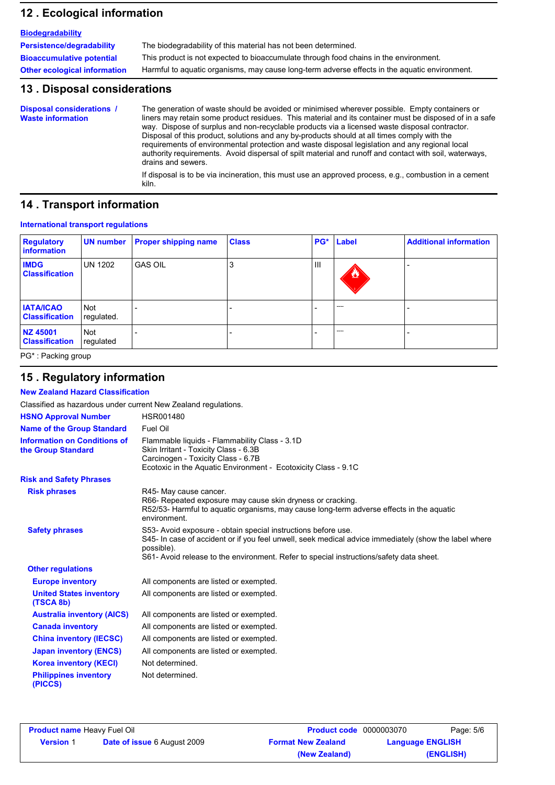### **12 . Ecological information**

| <b>Biodegradability</b>             |                                                                                               |
|-------------------------------------|-----------------------------------------------------------------------------------------------|
| Persistence/degradability           | The biodegradability of this material has not been determined.                                |
| <b>Bioaccumulative potential</b>    | This product is not expected to bioaccumulate through food chains in the environment.         |
| <b>Other ecological information</b> | Harmful to aquatic organisms, may cause long-term adverse effects in the aquatic environment. |

### **13 . Disposal considerations**

The generation of waste should be avoided or minimised wherever possible. Empty containers or liners may retain some product residues. This material and its container must be disposed of in a safe way. Dispose of surplus and non-recyclable products via a licensed waste disposal contractor. Disposal of this product, solutions and any by-products should at all times comply with the requirements of environmental protection and waste disposal legislation and any regional local authority requirements. Avoid dispersal of spilt material and runoff and contact with soil, waterways, drains and sewers. **Disposal considerations / Waste information**

If disposal is to be via incineration, this must use an approved process, e.g., combustion in a cement kiln.

### **14 . Transport information**

### **International transport regulations**

| <b>Regulatory</b><br>information          | UN number                | <b>Proper shipping name</b> | <b>Class</b> |     | PG* Label         | <b>Additional information</b> |
|-------------------------------------------|--------------------------|-----------------------------|--------------|-----|-------------------|-------------------------------|
| <b>IMDG</b><br><b>Classification</b>      | <b>UN 1202</b>           | <b>GAS OIL</b>              | J.           | III | $\bf{z}$          |                               |
| <b>IATA/ICAO</b><br><b>Classification</b> | <b>Not</b><br>regulated. |                             |              |     | <b>STATISTICS</b> |                               |
| NZ 45001<br><b>Classification</b>         | Not<br>regulated         |                             |              |     | <b>STATISTICS</b> |                               |

PG\* : Packing group

### **15 . Regulatory information**

**New Zealand Hazard Classification**

| Classified as hazardous under current New Zealand regulations. |                                                                                                                                                                                                                                                                                 |
|----------------------------------------------------------------|---------------------------------------------------------------------------------------------------------------------------------------------------------------------------------------------------------------------------------------------------------------------------------|
| <b>HSNO Approval Number</b>                                    | <b>HSR001480</b>                                                                                                                                                                                                                                                                |
| <b>Name of the Group Standard</b>                              | Fuel Oil                                                                                                                                                                                                                                                                        |
| <b>Information on Conditions of</b><br>the Group Standard      | Flammable liquids - Flammability Class - 3.1D<br>Skin Irritant - Toxicity Class - 6.3B<br>Carcinogen - Toxicity Class - 6.7B<br>Ecotoxic in the Aquatic Environment - Ecotoxicity Class - 9.1C                                                                                  |
| <b>Risk and Safety Phrases</b>                                 |                                                                                                                                                                                                                                                                                 |
| <b>Risk phrases</b>                                            | R45- May cause cancer.<br>R66- Repeated exposure may cause skin dryness or cracking.<br>R52/53- Harmful to aquatic organisms, may cause long-term adverse effects in the aquatic<br>environment.                                                                                |
| <b>Safety phrases</b>                                          | S53- Avoid exposure - obtain special instructions before use.<br>S45- In case of accident or if you feel unwell, seek medical advice immediately (show the label where<br>possible).<br>S61- Avoid release to the environment. Refer to special instructions/safety data sheet. |
| <b>Other regulations</b>                                       |                                                                                                                                                                                                                                                                                 |
| <b>Europe inventory</b>                                        | All components are listed or exempted.                                                                                                                                                                                                                                          |
| <b>United States inventory</b><br>(TSCA 8b)                    | All components are listed or exempted.                                                                                                                                                                                                                                          |
| <b>Australia inventory (AICS)</b>                              | All components are listed or exempted.                                                                                                                                                                                                                                          |
| <b>Canada inventory</b>                                        | All components are listed or exempted.                                                                                                                                                                                                                                          |
| <b>China inventory (IECSC)</b>                                 | All components are listed or exempted.                                                                                                                                                                                                                                          |
| <b>Japan inventory (ENCS)</b>                                  | All components are listed or exempted.                                                                                                                                                                                                                                          |
| <b>Korea inventory (KECI)</b>                                  | Not determined.                                                                                                                                                                                                                                                                 |
| <b>Philippines inventory</b><br>(PICCS)                        | Not determined.                                                                                                                                                                                                                                                                 |

| <b>Product name Heavy Fuel Oil</b> |                                    | <b>Product code</b> 0000003070 |                         | Page: 5/6 |
|------------------------------------|------------------------------------|--------------------------------|-------------------------|-----------|
| <b>Version 1</b>                   | <b>Date of issue 6 August 2009</b> | <b>Format New Zealand</b>      | <b>Language ENGLISH</b> |           |
|                                    |                                    | (New Zealand)                  |                         | (ENGLISH) |